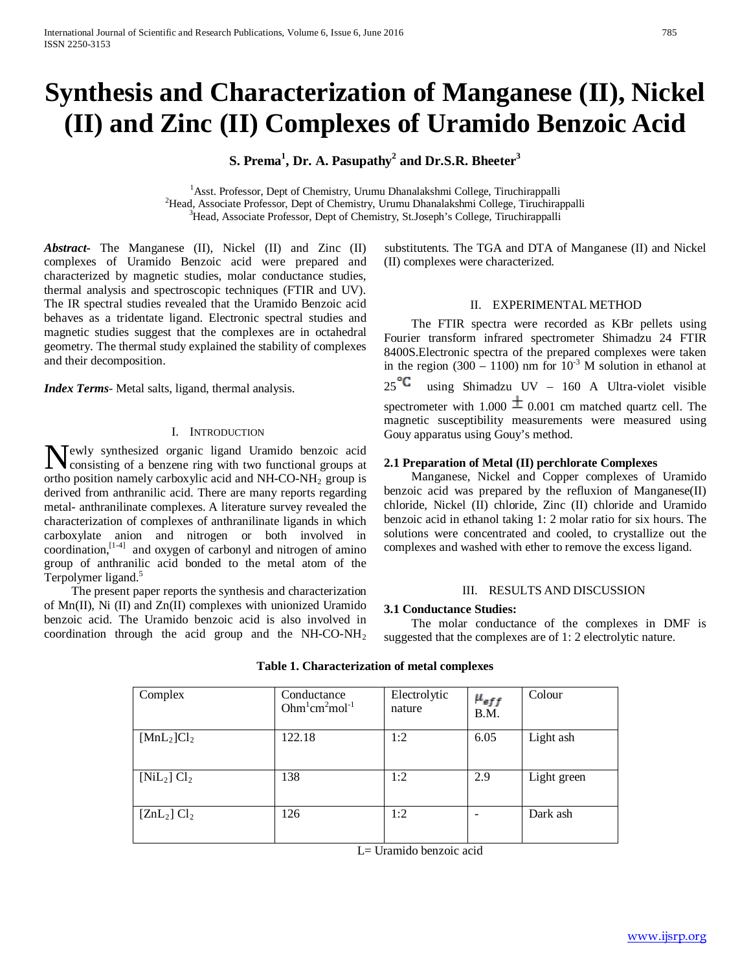# **Synthesis and Characterization of Manganese (II), Nickel (II) and Zinc (II) Complexes of Uramido Benzoic Acid**

**S. Prema<sup>1</sup> , Dr. A. Pasupathy<sup>2</sup> and Dr.S.R. Bheeter3**

<sup>1</sup> Asst. Professor, Dept of Chemistry, Urumu Dhanalakshmi College, Tiruchirappalli<br><sup>2</sup>Head, Associate Professor, Dept of Chemistry, Urumu Dhanalakshmi College, Tiruchira <sup>2</sup>Head, Associate Professor, Dept of Chemistry, Urumu Dhanalakshmi College, Tiruchirappalli <sup>3</sup>Head, Associate Professor, Dept of Chemistry, St.Joseph's College, Tiruchirappalli

*Abstract***-** The Manganese (II), Nickel (II) and Zinc (II) complexes of Uramido Benzoic acid were prepared and characterized by magnetic studies, molar conductance studies, thermal analysis and spectroscopic techniques (FTIR and UV). The IR spectral studies revealed that the Uramido Benzoic acid behaves as a tridentate ligand. Electronic spectral studies and magnetic studies suggest that the complexes are in octahedral geometry. The thermal study explained the stability of complexes and their decomposition.

*Index Terms*- Metal salts, ligand, thermal analysis.

# I. INTRODUCTION

ewly synthesized organic ligand Uramido benzoic acid Newly synthesized organic ligand Uramido benzoic acid<br>consisting of a benzene ring with two functional groups at ortho position namely carboxylic acid and NH-CO-NH2 group is derived from anthranilic acid. There are many reports regarding metal- anthranilinate complexes. A literature survey revealed the characterization of complexes of anthranilinate ligands in which carboxylate anion and nitrogen or both involved in coordination, $[1-4]$  and oxygen of carbonyl and nitrogen of amino group of anthranilic acid bonded to the metal atom of the Terpolymer ligand.<sup>5</sup>

 The present paper reports the synthesis and characterization of Mn(II), Ni (II) and Zn(II) complexes with unionized Uramido benzoic acid. The Uramido benzoic acid is also involved in coordination through the acid group and the NH-CO-NH2

substitutents. The TGA and DTA of Manganese (II) and Nickel (II) complexes were characterized.

#### II. EXPERIMENTAL METHOD

 The FTIR spectra were recorded as KBr pellets using Fourier transform infrared spectrometer Shimadzu 24 FTIR 8400S.Electronic spectra of the prepared complexes were taken in the region (300 – 1100) nm for  $10^{-3}$  M solution in ethanol at  $25^{\circ}$  using Shimadzu UV – 160 A Ultra-violet visible spectrometer with 1.000  $\pm$  0.001 cm matched quartz cell. The magnetic susceptibility measurements were measured using Gouy apparatus using Gouy's method.

#### **2.1 Preparation of Metal (II) perchlorate Complexes**

 Manganese, Nickel and Copper complexes of Uramido benzoic acid was prepared by the refluxion of Manganese(II) chloride, Nickel (II) chloride, Zinc (II) chloride and Uramido benzoic acid in ethanol taking 1: 2 molar ratio for six hours. The solutions were concentrated and cooled, to crystallize out the complexes and washed with ether to remove the excess ligand.

# III. RESULTS AND DISCUSSION

# **3.1 Conductance Studies:**

 The molar conductance of the complexes in DMF is suggested that the complexes are of 1: 2 electrolytic nature.

| Complex          | Conductance<br>$Ohm1cm2mol-1$ | Electrolytic<br>nature | $\mu_{eff}$<br>B.M. | Colour      |
|------------------|-------------------------------|------------------------|---------------------|-------------|
| $[MnL_2]Cl_2$    | 122.18                        | 1:2                    | 6.05                | Light ash   |
| $[NiL_2]$ $Cl_2$ | 138                           | 1:2                    | 2.9                 | Light green |
| $[ZnL_2]Cl_2$    | 126                           | 1:2                    |                     | Dark ash    |

**Table 1. Characterization of metal complexes**

L= Uramido benzoic acid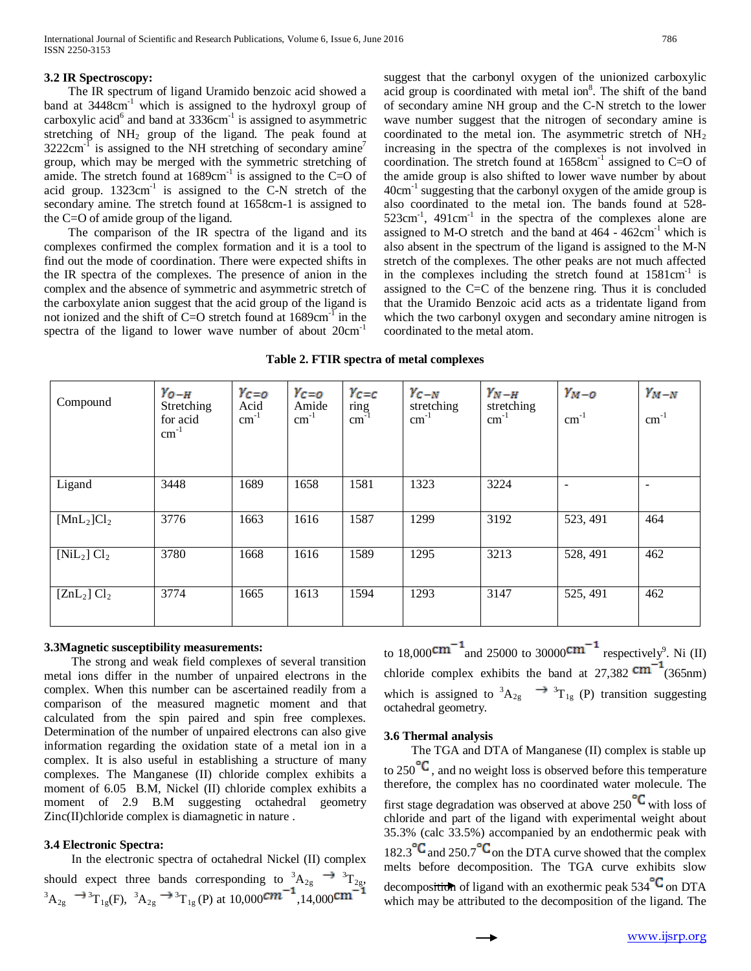#### **3.2 IR Spectroscopy:**

 The IR spectrum of ligand Uramido benzoic acid showed a band at  $3448 \text{cm}^{-1}$  which is assigned to the hydroxyl group of carboxylic acid<sup>6</sup> and band at  $3336$ cm<sup>-1</sup> is assigned to asymmetric stretching of  $NH<sub>2</sub>$  group of the ligand. The peak found at  $3222 \text{cm}^{-1}$  is assigned to the NH stretching of secondary amine<sup>7</sup> group, which may be merged with the symmetric stretching of amide. The stretch found at  $1689 \text{cm}^{-1}$  is assigned to the C=O of acid group.  $1323 \text{cm}^{-1}$  is assigned to the C-N stretch of the secondary amine. The stretch found at 1658cm-1 is assigned to the C=O of amide group of the ligand.

 The comparison of the IR spectra of the ligand and its complexes confirmed the complex formation and it is a tool to find out the mode of coordination. There were expected shifts in the IR spectra of the complexes. The presence of anion in the complex and the absence of symmetric and asymmetric stretch of the carboxylate anion suggest that the acid group of the ligand is not ionized and the shift of C=O stretch found at 1689cm-1 in the spectra of the ligand to lower wave number of about 20cm-1

suggest that the carbonyl oxygen of the unionized carboxylic acid group is coordinated with metal ion<sup>8</sup>. The shift of the band of secondary amine NH group and the C-N stretch to the lower wave number suggest that the nitrogen of secondary amine is coordinated to the metal ion. The asymmetric stretch of  $NH<sub>2</sub>$ increasing in the spectra of the complexes is not involved in coordination. The stretch found at  $1658 \text{cm}^{-1}$  assigned to C=O of the amide group is also shifted to lower wave number by about  $40 \text{cm}^{-1}$  suggesting that the carbonyl oxygen of the amide group is also coordinated to the metal ion. The bands found at 528-  $523$ cm<sup>-1</sup>,  $491$ cm<sup>-1</sup> in the spectra of the complexes alone are assigned to M-O stretch and the band at  $464 - 462 \text{cm}^{-1}$  which is also absent in the spectrum of the ligand is assigned to the M-N stretch of the complexes. The other peaks are not much affected in the complexes including the stretch found at  $1581 \text{cm}^{-1}$  is assigned to the C=C of the benzene ring. Thus it is concluded that the Uramido Benzoic acid acts as a tridentate ligand from which the two carbonyl oxygen and secondary amine nitrogen is coordinated to the metal atom.

|  |  |  |  |  |  | Table 2. FTIR spectra of metal complexes |
|--|--|--|--|--|--|------------------------------------------|
|--|--|--|--|--|--|------------------------------------------|

| Compound         | $Y_{O-H}$<br>Stretching<br>for acid<br>$cm^{-1}$ | $Y_{C=0}$<br>Acid<br>$cm^{-1}$ | $Y_{C=0}$<br>Amide<br>$cm^{-1}$ | $Y_{C=C}$<br>$\frac{\text{ring}}{\text{cm}^{-1}}$ | $Y_{C-N}$<br>stretching<br>$cm^{-1}$ | $Y_{N-H}$<br>stretching<br>$\text{cm}^{-1}$ | $Y_{M-O}$<br>$\text{cm}^{-1}$ | $Y_{M-N}$<br>$cm^{-1}$   |
|------------------|--------------------------------------------------|--------------------------------|---------------------------------|---------------------------------------------------|--------------------------------------|---------------------------------------------|-------------------------------|--------------------------|
| Ligand           | 3448                                             | 1689                           | 1658                            | 1581                                              | 1323                                 | 3224                                        | $\overline{\phantom{0}}$      | $\overline{\phantom{0}}$ |
| $[MnL_2]Cl_2$    | 3776                                             | 1663                           | 1616                            | 1587                                              | 1299                                 | 3192                                        | 523, 491                      | 464                      |
| $[NiL_2]$ $Cl_2$ | 3780                                             | 1668                           | 1616                            | 1589                                              | 1295                                 | 3213                                        | 528, 491                      | 462                      |
| $[ZnL_2]Cl_2$    | 3774                                             | 1665                           | 1613                            | 1594                                              | 1293                                 | 3147                                        | 525, 491                      | 462                      |

# **3.3Magnetic susceptibility measurements:**

 The strong and weak field complexes of several transition metal ions differ in the number of unpaired electrons in the complex. When this number can be ascertained readily from a comparison of the measured magnetic moment and that calculated from the spin paired and spin free complexes. Determination of the number of unpaired electrons can also give information regarding the oxidation state of a metal ion in a complex. It is also useful in establishing a structure of many complexes. The Manganese (II) chloride complex exhibits a moment of 6.05 B.M, Nickel (II) chloride complex exhibits a moment of 2.9 B.M suggesting octahedral geometry Zinc(II)chloride complex is diamagnetic in nature .

# **3.4 Electronic Spectra:**

 In the electronic spectra of octahedral Nickel (II) complex should expect three bands corresponding to  ${}^{3}A_{2g} \rightarrow {}^{3}T_{2g}$ ,  ${}^{3}A_{2g} \rightarrow {}^{3}T_{1g}(F)$ ,  ${}^{3}A_{2g} \rightarrow {}^{3}T_{1g}(P)$  at  $10,000$   $\text{cm}$   ${}^{4}$ ,  $14,000$ 

to 18,000 $\text{cm}$  and 25000 to 30000 $\text{cm}$  respectively<sup>9</sup>. Ni (II) chloride complex exhibits the band at  $27,382$   $\text{cm}^{-1}$  (365nm) which is assigned to  ${}^{3}A_{2g} \longrightarrow {}^{3}T_{1g}$  (P) transition suggesting octahedral geometry.

# **3.6 Thermal analysis**

 The TGA and DTA of Manganese (II) complex is stable up to  $250$ <sup>-</sup>, and no weight loss is observed before this temperature therefore, the complex has no coordinated water molecule. The first stage degradation was observed at above 250 $\textdegree$  with loss of chloride and part of the ligand with experimental weight about 35.3% (calc 33.5%) accompanied by an endothermic peak with 182.3 $\mathrm{C}_{\mathrm{and}}$  250.7 $\mathrm{C}_{\mathrm{on}}$  the DTA curve showed that the complex melts before decomposition. The TGA curve exhibits slow decomposition of ligand with an exothermic peak  $534^{\circ}C$  on DTA which may be attributed to the decomposition of the ligand. The